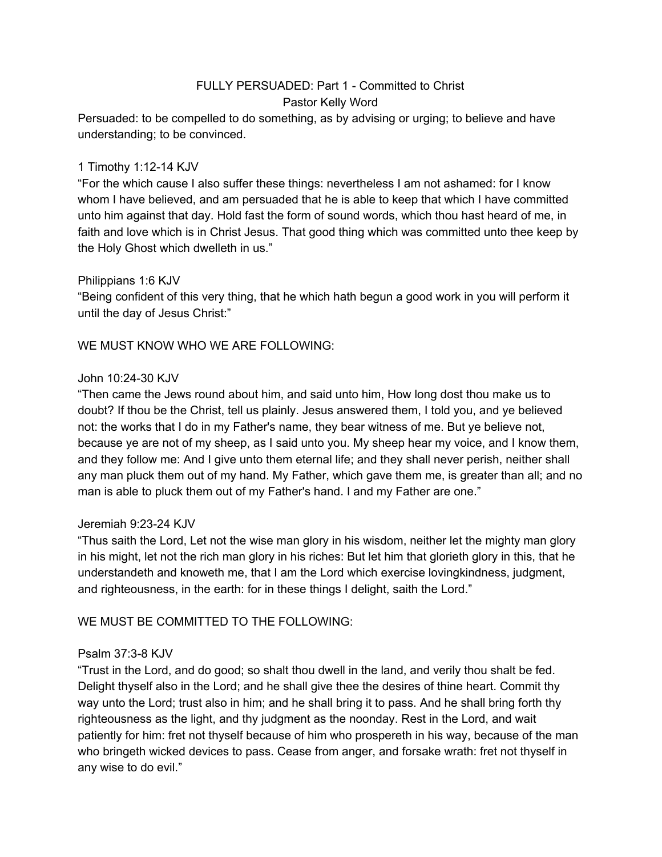# FULLY PERSUADED: Part 1 - Committed to Christ Pastor Kelly Word

Persuaded: to be compelled to do something, as by advising or urging; to believe and have understanding; to be convinced.

# 1 Timothy 1:12-14 KJV

"For the which cause I also suffer these things: nevertheless I am not ashamed: for I know whom I have believed, and am persuaded that he is able to keep that which I have committed unto him against that day. Hold fast the form of sound words, which thou hast heard of me, in faith and love which is in Christ Jesus. That good thing which was committed unto thee keep by the Holy Ghost which dwelleth in us."

# Philippians 1:6 KJV

"Being confident of this very thing, that he which hath begun a good work in you will perform it until the day of Jesus Christ:"

WE MUST KNOW WHO WE ARE FOLLOWING:

# John 10:24-30 KJV

"Then came the Jews round about him, and said unto him, How long dost thou make us to doubt? If thou be the Christ, tell us plainly. Jesus answered them, I told you, and ye believed not: the works that I do in my Father's name, they bear witness of me. But ye believe not, because ye are not of my sheep, as I said unto you. My sheep hear my voice, and I know them, and they follow me: And I give unto them eternal life; and they shall never perish, neither shall any man pluck them out of my hand. My Father, which gave them me, is greater than all; and no man is able to pluck them out of my Father's hand. I and my Father are one."

# Jeremiah 9:23-24 KJV

"Thus saith the Lord, Let not the wise man glory in his wisdom, neither let the mighty man glory in his might, let not the rich man glory in his riches: But let him that glorieth glory in this, that he understandeth and knoweth me, that I am the Lord which exercise lovingkindness, judgment, and righteousness, in the earth: for in these things I delight, saith the Lord."

WE MUST BE COMMITTED TO THE FOLLOWING:

# Psalm 37:3-8 KJV

"Trust in the Lord, and do good; so shalt thou dwell in the land, and verily thou shalt be fed. Delight thyself also in the Lord; and he shall give thee the desires of thine heart. Commit thy way unto the Lord; trust also in him; and he shall bring it to pass. And he shall bring forth thy righteousness as the light, and thy judgment as the noonday. Rest in the Lord, and wait patiently for him: fret not thyself because of him who prospereth in his way, because of the man who bringeth wicked devices to pass. Cease from anger, and forsake wrath: fret not thyself in any wise to do evil."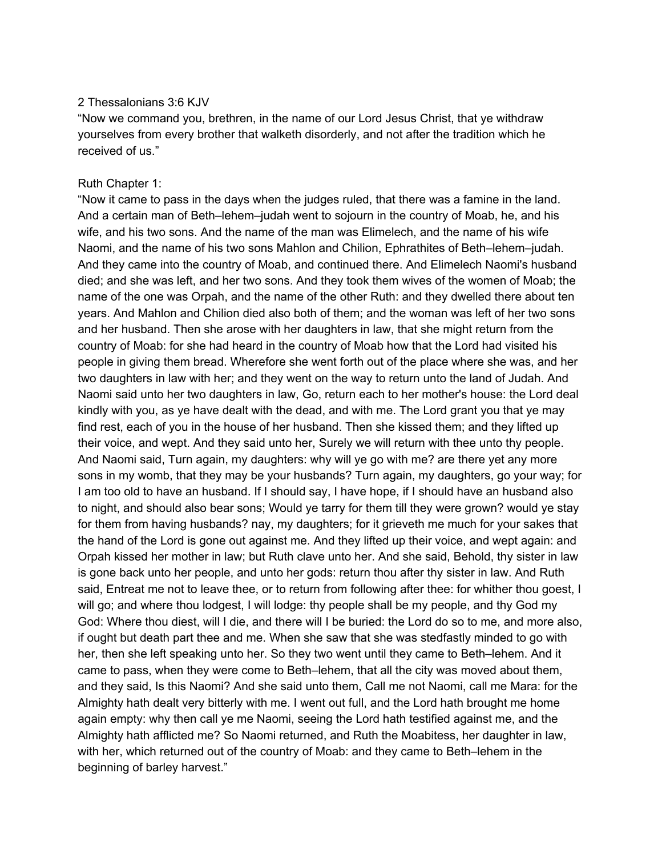### 2 Thessalonians 3:6 KJV

"Now we command you, brethren, in the name of our Lord Jesus Christ, that ye withdraw yourselves from every brother that walketh disorderly, and not after the tradition which he received of us."

#### Ruth Chapter 1:

"Now it came to pass in the days when the judges ruled, that there was a famine in the land. And a certain man of Beth–lehem–judah went to sojourn in the country of Moab, he, and his wife, and his two sons. And the name of the man was Elimelech, and the name of his wife Naomi, and the name of his two sons Mahlon and Chilion, Ephrathites of Beth–lehem–judah. And they came into the country of Moab, and continued there. And Elimelech Naomi's husband died; and she was left, and her two sons. And they took them wives of the women of Moab; the name of the one was Orpah, and the name of the other Ruth: and they dwelled there about ten years. And Mahlon and Chilion died also both of them; and the woman was left of her two sons and her husband. Then she arose with her daughters in law, that she might return from the country of Moab: for she had heard in the country of Moab how that the Lord had visited his people in giving them bread. Wherefore she went forth out of the place where she was, and her two daughters in law with her; and they went on the way to return unto the land of Judah. And Naomi said unto her two daughters in law, Go, return each to her mother's house: the Lord deal kindly with you, as ye have dealt with the dead, and with me. The Lord grant you that ye may find rest, each of you in the house of her husband. Then she kissed them; and they lifted up their voice, and wept. And they said unto her, Surely we will return with thee unto thy people. And Naomi said, Turn again, my daughters: why will ye go with me? are there yet any more sons in my womb, that they may be your husbands? Turn again, my daughters, go your way; for I am too old to have an husband. If I should say, I have hope, if I should have an husband also to night, and should also bear sons; Would ye tarry for them till they were grown? would ye stay for them from having husbands? nay, my daughters; for it grieveth me much for your sakes that the hand of the Lord is gone out against me. And they lifted up their voice, and wept again: and Orpah kissed her mother in law; but Ruth clave unto her. And she said, Behold, thy sister in law is gone back unto her people, and unto her gods: return thou after thy sister in law. And Ruth said, Entreat me not to leave thee, or to return from following after thee: for whither thou goest, I will go; and where thou lodgest, I will lodge: thy people shall be my people, and thy God my God: Where thou diest, will I die, and there will I be buried: the Lord do so to me, and more also, if ought but death part thee and me. When she saw that she was stedfastly minded to go with her, then she left speaking unto her. So they two went until they came to Beth–lehem. And it came to pass, when they were come to Beth–lehem, that all the city was moved about them, and they said, Is this Naomi? And she said unto them, Call me not Naomi, call me Mara: for the Almighty hath dealt very bitterly with me. I went out full, and the Lord hath brought me home again empty: why then call ye me Naomi, seeing the Lord hath testified against me, and the Almighty hath afflicted me? So Naomi returned, and Ruth the Moabitess, her daughter in law, with her, which returned out of the country of Moab: and they came to Beth–lehem in the beginning of barley harvest."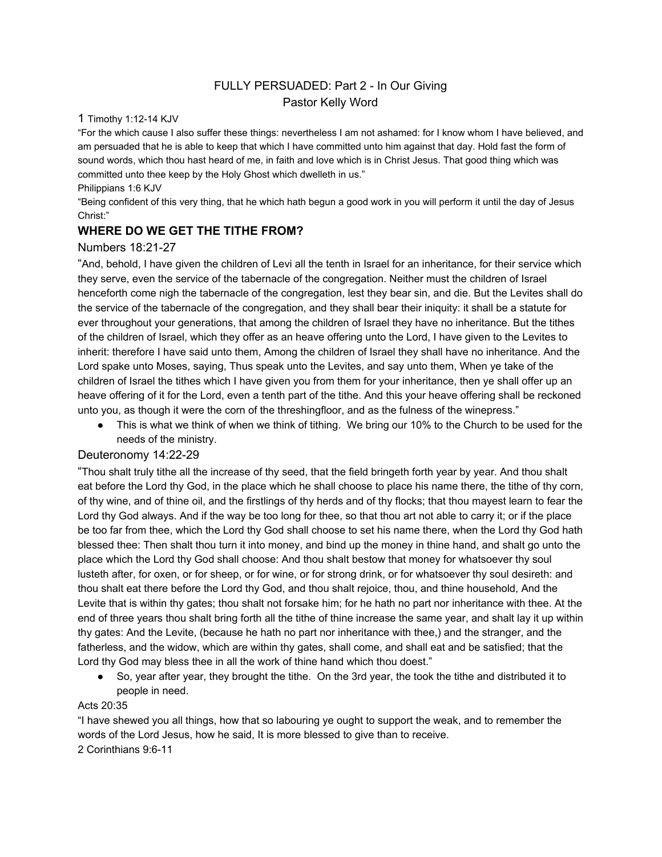# FULLY PERSUADED: Part 2 - In Our Giving Pastor Kelly Word

### 1 Timothy 1:1214 KJV

"For the which cause I also suffer these things: nevertheless I am not ashamed: for I know whom I have believed, and am persuaded that he is able to keep that which I have committed unto him against that day. Hold fast the form of sound words, which thou hast heard of me, in faith and love which is in Christ Jesus. That good thing which was committed unto thee keep by the Holy Ghost which dwelleth in us."

#### Philippians 1:6 KJV

"Being confident of this very thing, that he which hath begun a good work in you will perform it until the day of Jesus Christ:"

# **WHERE DO WE GET THE TITHE FROM?**

## Numbers 18:21-27

"And, behold, I have given the children of Levi all the tenth in Israel for an inheritance, for their service which they serve, even the service of the tabernacle of the congregation. Neither must the children of Israel henceforth come nigh the tabernacle of the congregation, lest they bear sin, and die. But the Levites shall do the service of the tabernacle of the congregation, and they shall bear their iniquity: it shall be a statute for ever throughout your generations, that among the children of Israel they have no inheritance. But the tithes of the children of Israel, which they offer as an heave offering unto the Lord, I have given to the Levites to inherit: therefore I have said unto them, Among the children of Israel they shall have no inheritance. And the Lord spake unto Moses, saying, Thus speak unto the Levites, and say unto them, When ye take of the children of Israel the tithes which I have given you from them for your inheritance, then ye shall offer up an heave offering of it for the Lord, even a tenth part of the tithe. And this your heave offering shall be reckoned unto you, as though it were the corn of the threshingfloor, and as the fulness of the winepress."

• This is what we think of when we think of tithing. We bring our 10% to the Church to be used for the needs of the ministry.

## Deuteronomy 14:22-29

"Thou shalt truly tithe all the increase of thy seed, that the field bringeth forth year by year. And thou shalt eat before the Lord thy God, in the place which he shall choose to place his name there, the tithe of thy corn, of thy wine, and of thine oil, and the firstlings of thy herds and of thy flocks; that thou mayest learn to fear the Lord thy God always. And if the way be too long for thee, so that thou art not able to carry it; or if the place be too far from thee, which the Lord thy God shall choose to set his name there, when the Lord thy God hath blessed thee: Then shalt thou turn it into money, and bind up the money in thine hand, and shalt go unto the place which the Lord thy God shall choose: And thou shalt bestow that money for whatsoever thy soul lusteth after, for oxen, or for sheep, or for wine, or for strong drink, or for whatsoever thy soul desireth: and thou shalt eat there before the Lord thy God, and thou shalt rejoice, thou, and thine household, And the Levite that is within thy gates; thou shalt not forsake him; for he hath no part nor inheritance with thee. At the end of three years thou shalt bring forth all the tithe of thine increase the same year, and shalt lay it up within thy gates: And the Levite, (because he hath no part nor inheritance with thee,) and the stranger, and the fatherless, and the widow, which are within thy gates, shall come, and shall eat and be satisfied; that the Lord thy God may bless thee in all the work of thine hand which thou doest."

● So, year after year, they brought the tithe. On the 3rd year, the took the tithe and distributed it to people in need.

## Acts 20:35

"I have shewed you all things, how that so labouring ye ought to support the weak, and to remember the words of the Lord Jesus, how he said, It is more blessed to give than to receive. 2 Corinthians 9:6-11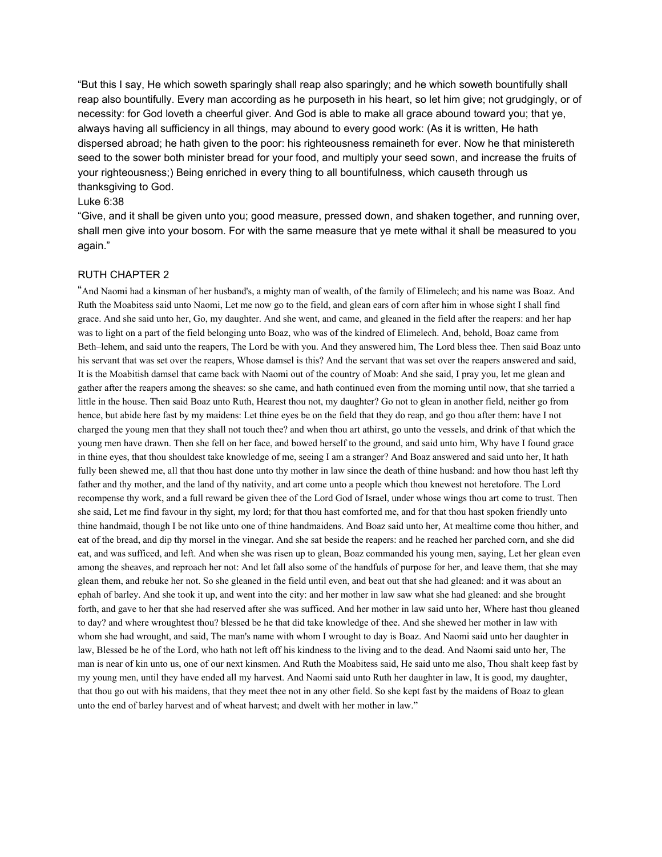"But this I say, He which soweth sparingly shall reap also sparingly; and he which soweth bountifully shall reap also bountifully. Every man according as he purposeth in his heart, so let him give; not grudgingly, or of necessity: for God loveth a cheerful giver. And God is able to make all grace abound toward you; that ye, always having all sufficiency in all things, may abound to every good work: (As it is written, He hath dispersed abroad; he hath given to the poor: his righteousness remaineth for ever. Now he that ministereth seed to the sower both minister bread for your food, and multiply your seed sown, and increase the fruits of your righteousness;) Being enriched in every thing to all bountifulness, which causeth through us thanksgiving to God.

#### Luke 6:38

"Give, and it shall be given unto you; good measure, pressed down, and shaken together, and running over, shall men give into your bosom. For with the same measure that ye mete withal it shall be measured to you again."

#### RUTH CHAPTER 2

"And Naomi had a kinsman of her husband's, a mighty man of wealth, of the family of Elimelech; and his name was Boaz. And Ruth the Moabitess said unto Naomi, Let me now go to the field, and glean ears of corn after him in whose sight I shall find grace. And she said unto her, Go, my daughter. And she went, and came, and gleaned in the field after the reapers: and her hap was to light on a part of the field belonging unto Boaz, who was of the kindred of Elimelech. And, behold, Boaz came from Beth–lehem, and said unto the reapers, The Lord be with you. And they answered him, The Lord bless thee. Then said Boaz unto his servant that was set over the reapers, Whose damsel is this? And the servant that was set over the reapers answered and said, It is the Moabitish damsel that came back with Naomi out of the country of Moab: And she said, I pray you, let me glean and gather after the reapers among the sheaves: so she came, and hath continued even from the morning until now, that she tarried a little in the house. Then said Boaz unto Ruth, Hearest thou not, my daughter? Go not to glean in another field, neither go from hence, but abide here fast by my maidens: Let thine eyes be on the field that they do reap, and go thou after them: have I not charged the young men that they shall not touch thee? and when thou art athirst, go unto the vessels, and drink of that which the young men have drawn. Then she fell on her face, and bowed herself to the ground, and said unto him, Why have I found grace in thine eyes, that thou shouldest take knowledge of me, seeing I am a stranger? And Boaz answered and said unto her, It hath fully been shewed me, all that thou hast done unto thy mother in law since the death of thine husband: and how thou hast left thy father and thy mother, and the land of thy nativity, and art come unto a people which thou knewest not heretofore. The Lord recompense thy work, and a full reward be given thee of the Lord God of Israel, under whose wings thou art come to trust. Then she said, Let me find favour in thy sight, my lord; for that thou hast comforted me, and for that thou hast spoken friendly unto thine handmaid, though I be not like unto one of thine handmaidens. And Boaz said unto her, At mealtime come thou hither, and eat of the bread, and dip thy morsel in the vinegar. And she sat beside the reapers: and he reached her parched corn, and she did eat, and was sufficed, and left. And when she was risen up to glean, Boaz commanded his young men, saying, Let her glean even among the sheaves, and reproach her not: And let fall also some of the handfuls of purpose for her, and leave them, that she may glean them, and rebuke her not. So she gleaned in the field until even, and beat out that she had gleaned: and it was about an ephah of barley. And she took it up, and went into the city: and her mother in law saw what she had gleaned: and she brought forth, and gave to her that she had reserved after she was sufficed. And her mother in law said unto her, Where hast thou gleaned to day? and where wroughtest thou? blessed be he that did take knowledge of thee. And she shewed her mother in law with whom she had wrought, and said, The man's name with whom I wrought to day is Boaz. And Naomi said unto her daughter in law, Blessed be he of the Lord, who hath not left off his kindness to the living and to the dead. And Naomi said unto her, The man is near of kin unto us, one of our next kinsmen. And Ruth the Moabitess said, He said unto me also, Thou shalt keep fast by my young men, until they have ended all my harvest. And Naomi said unto Ruth her daughter in law, It is good, my daughter, that thou go out with his maidens, that they meet thee not in any other field. So she kept fast by the maidens of Boaz to glean unto the end of barley harvest and of wheat harvest; and dwelt with her mother in law."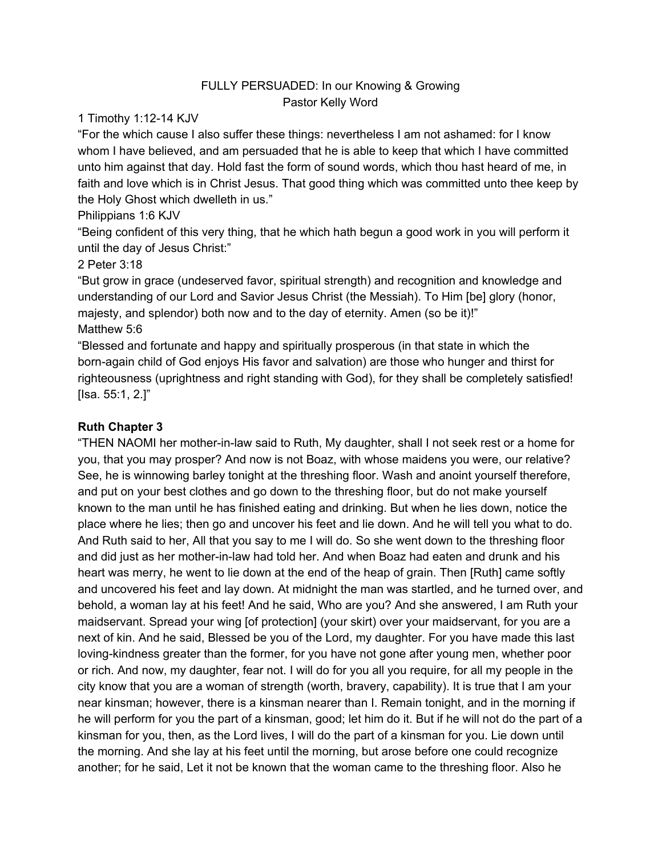# FULLY PERSUADED: In our Knowing & Growing Pastor Kelly Word

1 Timothy 1:12-14 KJV

"For the which cause I also suffer these things: nevertheless I am not ashamed: for I know whom I have believed, and am persuaded that he is able to keep that which I have committed unto him against that day. Hold fast the form of sound words, which thou hast heard of me, in faith and love which is in Christ Jesus. That good thing which was committed unto thee keep by the Holy Ghost which dwelleth in us."

Philippians 1:6 KJV

"Being confident of this very thing, that he which hath begun a good work in you will perform it until the day of Jesus Christ:"

2 Peter 3:18

"But grow in grace (undeserved favor, spiritual strength) and recognition and knowledge and understanding of our Lord and Savior Jesus Christ (the Messiah). To Him [be] glory (honor, majesty, and splendor) both now and to the day of eternity. Amen (so be it)!"

Matthew 5:6

"Blessed and fortunate and happy and spiritually prosperous (in that state in which the born-again child of God enjoys His favor and salvation) are those who hunger and thirst for righteousness (uprightness and right standing with God), for they shall be completely satisfied! [Isa. 55:1, 2.]"

# **Ruth Chapter 3**

"THEN NAOMI her mother-in-law said to Ruth, My daughter, shall I not seek rest or a home for you, that you may prosper? And now is not Boaz, with whose maidens you were, our relative? See, he is winnowing barley tonight at the threshing floor. Wash and anoint yourself therefore, and put on your best clothes and go down to the threshing floor, but do not make yourself known to the man until he has finished eating and drinking. But when he lies down, notice the place where he lies; then go and uncover his feet and lie down. And he will tell you what to do. And Ruth said to her, All that you say to me I will do. So she went down to the threshing floor and did just as her mother-in-law had told her. And when Boaz had eaten and drunk and his heart was merry, he went to lie down at the end of the heap of grain. Then [Ruth] came softly and uncovered his feet and lay down. At midnight the man was startled, and he turned over, and behold, a woman lay at his feet! And he said, Who are you? And she answered, I am Ruth your maidservant. Spread your wing [of protection] (your skirt) over your maidservant, for you are a next of kin. And he said, Blessed be you of the Lord, my daughter. For you have made this last loving-kindness greater than the former, for you have not gone after young men, whether poor or rich. And now, my daughter, fear not. I will do for you all you require, for all my people in the city know that you are a woman of strength (worth, bravery, capability). It is true that I am your near kinsman; however, there is a kinsman nearer than I. Remain tonight, and in the morning if he will perform for you the part of a kinsman, good; let him do it. But if he will not do the part of a kinsman for you, then, as the Lord lives, I will do the part of a kinsman for you. Lie down until the morning. And she lay at his feet until the morning, but arose before one could recognize another; for he said, Let it not be known that the woman came to the threshing floor. Also he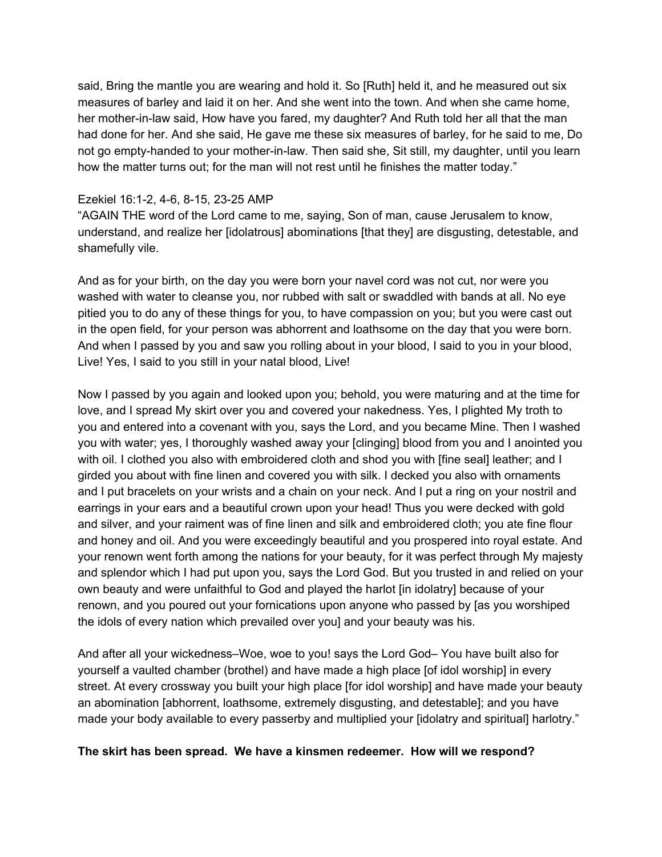said, Bring the mantle you are wearing and hold it. So [Ruth] held it, and he measured out six measures of barley and laid it on her. And she went into the town. And when she came home, her mother-in-law said, How have you fared, my daughter? And Ruth told her all that the man had done for her. And she said, He gave me these six measures of barley, for he said to me, Do not go empty-handed to your mother-in-law. Then said she, Sit still, my daughter, until you learn how the matter turns out; for the man will not rest until he finishes the matter today."

## Ezekiel 16:1-2, 4-6, 8-15, 23-25 AMP

"AGAIN THE word of the Lord came to me, saying, Son of man, cause Jerusalem to know, understand, and realize her [idolatrous] abominations [that they] are disgusting, detestable, and shamefully vile.

And as for your birth, on the day you were born your navel cord was not cut, nor were you washed with water to cleanse you, nor rubbed with salt or swaddled with bands at all. No eye pitied you to do any of these things for you, to have compassion on you; but you were cast out in the open field, for your person was abhorrent and loathsome on the day that you were born. And when I passed by you and saw you rolling about in your blood, I said to you in your blood, Live! Yes, I said to you still in your natal blood, Live!

Now I passed by you again and looked upon you; behold, you were maturing and at the time for love, and I spread My skirt over you and covered your nakedness. Yes, I plighted My troth to you and entered into a covenant with you, says the Lord, and you became Mine. Then I washed you with water; yes, I thoroughly washed away your [clinging] blood from you and I anointed you with oil. I clothed you also with embroidered cloth and shod you with [fine seal] leather; and I girded you about with fine linen and covered you with silk. I decked you also with ornaments and I put bracelets on your wrists and a chain on your neck. And I put a ring on your nostril and earrings in your ears and a beautiful crown upon your head! Thus you were decked with gold and silver, and your raiment was of fine linen and silk and embroidered cloth; you ate fine flour and honey and oil. And you were exceedingly beautiful and you prospered into royal estate. And your renown went forth among the nations for your beauty, for it was perfect through My majesty and splendor which I had put upon you, says the Lord God. But you trusted in and relied on your own beauty and were unfaithful to God and played the harlot [in idolatry] because of your renown, and you poured out your fornications upon anyone who passed by [as you worshiped the idols of every nation which prevailed over you] and your beauty was his.

And after all your wickedness–Woe, woe to you! says the Lord God– You have built also for yourself a vaulted chamber (brothel) and have made a high place [of idol worship] in every street. At every crossway you built your high place [for idol worship] and have made your beauty an abomination [abhorrent, loathsome, extremely disgusting, and detestable]; and you have made your body available to every passerby and multiplied your [idolatry and spiritual] harlotry."

## **The skirt has been spread. We have a kinsmen redeemer. How will we respond?**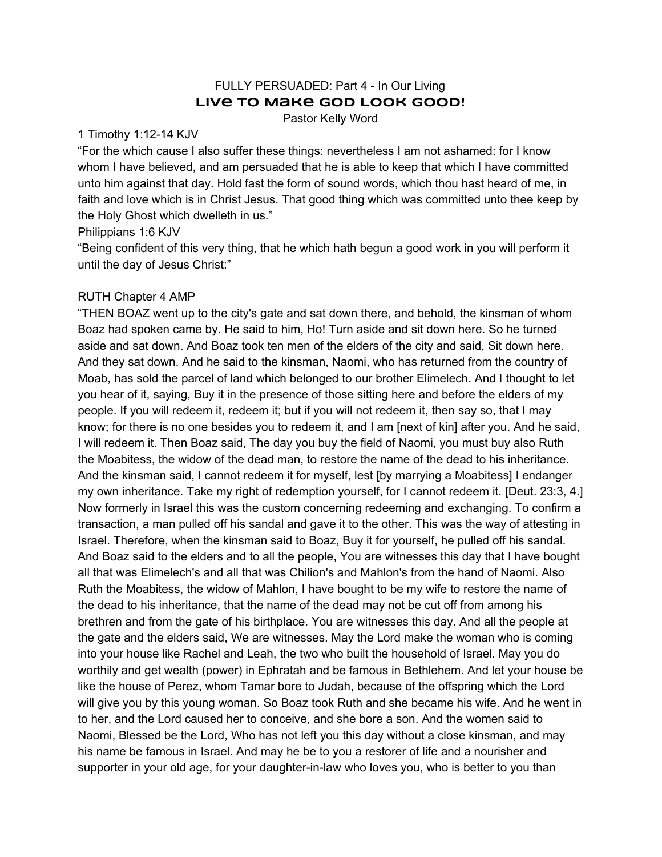# FULLY PERSUADED: Part 4 - In Our Living **Live to Make God Look Good!**

Pastor Kelly Word

### 1 Timothy 1:12-14 KJV

"For the which cause I also suffer these things: nevertheless I am not ashamed: for I know whom I have believed, and am persuaded that he is able to keep that which I have committed unto him against that day. Hold fast the form of sound words, which thou hast heard of me, in faith and love which is in Christ Jesus. That good thing which was committed unto thee keep by the Holy Ghost which dwelleth in us."

## Philippians 1:6 KJV

"Being confident of this very thing, that he which hath begun a good work in you will perform it until the day of Jesus Christ:"

# RUTH Chapter 4 AMP

"THEN BOAZ went up to the city's gate and sat down there, and behold, the kinsman of whom Boaz had spoken came by. He said to him, Ho! Turn aside and sit down here. So he turned aside and sat down. And Boaz took ten men of the elders of the city and said, Sit down here. And they sat down. And he said to the kinsman, Naomi, who has returned from the country of Moab, has sold the parcel of land which belonged to our brother Elimelech. And I thought to let you hear of it, saying, Buy it in the presence of those sitting here and before the elders of my people. If you will redeem it, redeem it; but if you will not redeem it, then say so, that I may know; for there is no one besides you to redeem it, and I am [next of kin] after you. And he said, I will redeem it. Then Boaz said, The day you buy the field of Naomi, you must buy also Ruth the Moabitess, the widow of the dead man, to restore the name of the dead to his inheritance. And the kinsman said, I cannot redeem it for myself, lest [by marrying a Moabitess] I endanger my own inheritance. Take my right of redemption yourself, for I cannot redeem it. [Deut. 23:3, 4.] Now formerly in Israel this was the custom concerning redeeming and exchanging. To confirm a transaction, a man pulled off his sandal and gave it to the other. This was the way of attesting in Israel. Therefore, when the kinsman said to Boaz, Buy it for yourself, he pulled off his sandal. And Boaz said to the elders and to all the people, You are witnesses this day that I have bought all that was Elimelech's and all that was Chilion's and Mahlon's from the hand of Naomi. Also Ruth the Moabitess, the widow of Mahlon, I have bought to be my wife to restore the name of the dead to his inheritance, that the name of the dead may not be cut off from among his brethren and from the gate of his birthplace. You are witnesses this day. And all the people at the gate and the elders said, We are witnesses. May the Lord make the woman who is coming into your house like Rachel and Leah, the two who built the household of Israel. May you do worthily and get wealth (power) in Ephratah and be famous in Bethlehem. And let your house be like the house of Perez, whom Tamar bore to Judah, because of the offspring which the Lord will give you by this young woman. So Boaz took Ruth and she became his wife. And he went in to her, and the Lord caused her to conceive, and she bore a son. And the women said to Naomi, Blessed be the Lord, Who has not left you this day without a close kinsman, and may his name be famous in Israel. And may he be to you a restorer of life and a nourisher and supporter in your old age, for your daughter-in-law who loves you, who is better to you than